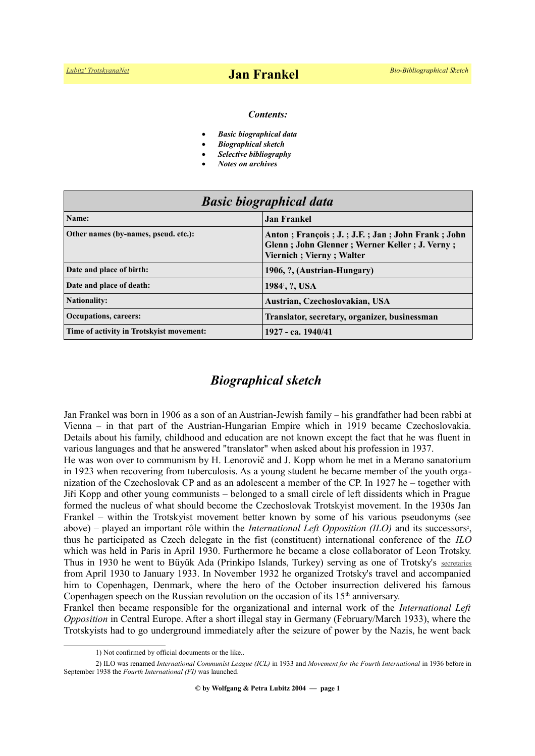#### *Contents:*

- *Basic biographical data*
- *Biographical sketch*
- *Selective bibliography*
- *Notes on archives*

| <b>Basic biographical data</b>           |                                                                                                                               |
|------------------------------------------|-------------------------------------------------------------------------------------------------------------------------------|
| Name:                                    | <b>Jan Frankel</b>                                                                                                            |
| Other names (by-names, pseud. etc.):     | Anton; François; J.; J.F.; Jan; John Frank; John<br>Glenn; John Glenner; Werner Keller; J. Verny;<br>Viernich; Vierny; Walter |
| Date and place of birth:                 | 1906, ?, (Austrian-Hungary)                                                                                                   |
| Date and place of death:                 | 1984 <sup>1</sup> , ?, USA                                                                                                    |
| <b>Nationality:</b>                      | Austrian, Czechoslovakian, USA                                                                                                |
| <b>Occupations, careers:</b>             | Translator, secretary, organizer, businessman                                                                                 |
| Time of activity in Trotskyist movement: | 1927 - ca. 1940/41                                                                                                            |

# *Biographical sketch*

Jan Frankel was born in 1906 as a son of an Austrian-Jewish family – his grandfather had been rabbi at Vienna – in that part of the Austrian-Hungarian Empire which in 1919 became Czechoslovakia. Details about his family, childhood and education are not known except the fact that he was fluent in various languages and that he answered "translator" when asked about his profession in 1937.

He was won over to communism by H. Lenorovič and J. Kopp whom he met in a Merano sanatorium in 1923 when recovering from tuberculosis. As a young student he became member of the youth organization of the Czechoslovak CP and as an adolescent a member of the CP. In 1927 he – together with Jiři Kopp and other young communists – belonged to a small circle of left dissidents which in Prague formed the nucleus of what should become the Czechoslovak Trotskyist movement. In the 1930s Jan Frankel – within the Trotskyist movement better known by some of his various pseudonyms (see above) – played an important rôle within the *International Left Opposition (ILO)* and its successors<sup>[2](#page-0-1)</sup>, thus he participated as Czech delegate in the fist (constituent) international conference of the *ILO* which was held in Paris in April 1930. Furthermore he became a close collaborator of Leon Trotsky. Thus in 1930 he went to Büyük Ada (Prinkipo Islands, Turkey) serving as one of Trotsky's [secretaries](http://www.trotskyana.net/Leon_Trotsky/Pseudonyms/trotsky_pseudonyms.html#secretaries) from April 1930 to January 1933. In November 1932 he organized Trotsky's travel and accompanied him to Copenhagen, Denmark, where the hero of the October insurrection delivered his famous Copenhagen speech on the Russian revolution on the occasion of its  $15<sup>th</sup>$  anniversary.

Frankel then became responsible for the organizational and internal work of the *International Left Opposition* in Central Europe. After a short illegal stay in Germany (February/March 1933), where the Trotskyists had to go underground immediately after the seizure of power by the Nazis, he went back

<span id="page-0-1"></span><span id="page-0-0"></span><sup>1)</sup> Not confirmed by official documents or the like..

<sup>2)</sup> ILO was renamed *International Communist League (ICL)* in 1933 and *Movement for the Fourth International* in 1936 before in September 1938 the *Fourth International (FI)* was launched.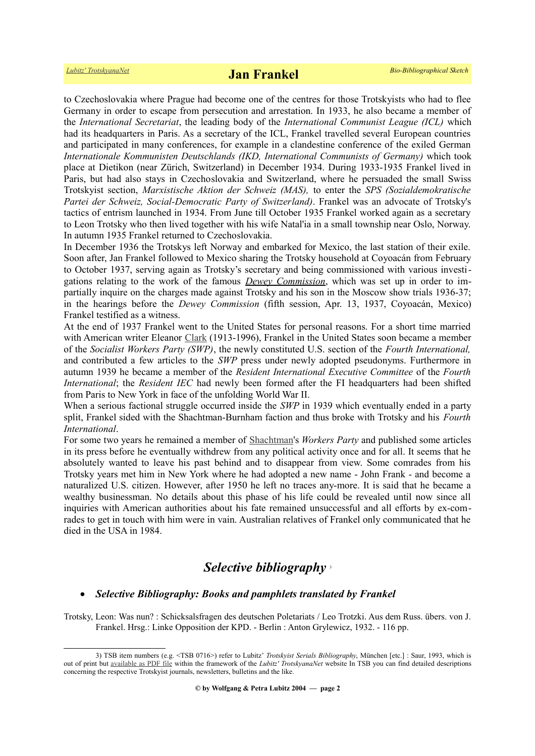to Czechoslovakia where Prague had become one of the centres for those Trotskyists who had to flee Germany in order to escape from persecution and arrestation. In 1933, he also became a member of the *International Secretariat*, the leading body of the *International Communist League (ICL)* which had its headquarters in Paris. As a secretary of the ICL, Frankel travelled several European countries and participated in many conferences, for example in a clandestine conference of the exiled German *Internationale Kommunisten Deutschlands (IKD, International Communists of Germany)* which took place at Dietikon (near Zürich, Switzerland) in December 1934. During 1933-1935 Frankel lived in Paris, but had also stays in Czechoslovakia and Switzerland, where he persuaded the small Swiss Trotskyist section, *Marxistische Aktion der Schweiz (MAS),* to enter the *SPS (Sozialdemokratische Partei der Schweiz, Social-Democratic Party of Switzerland)*. Frankel was an advocate of Trotsky's tactics of entrism launched in 1934. From June till October 1935 Frankel worked again as a secretary to Leon Trotsky who then lived together with his wife Natal'ia in a small township near Oslo, Norway. In autumn 1935 Frankel returned to Czechoslovakia.

In December 1936 the Trotskys left Norway and embarked for Mexico, the last station of their exile. Soon after, Jan Frankel followed to Mexico sharing the Trotsky household at Coyoacán from February to October 1937, serving again as Trotsky's secretary and being commissioned with various investigations relating to the work of the famous *[Dewey Commission](https://en.wikipedia.org/wiki/Dewey_Commission)*, which was set up in order to impartially inquire on the charges made against Trotsky and his son in the Moscow show trials 1936-37; in the hearings before the *Dewey Commission* (fifth session, Apr. 13, 1937, Coyoacán, Mexico) Frankel testified as a witness.

At the end of 1937 Frankel went to the United States for personal reasons. For a short time married with American writer Eleanor [Clark](https://en.wikipedia.org/wiki/Eleanor_Clark) (1913-1996), Frankel in the United States soon became a member of the *Socialist Workers Party (SWP)*, the newly constituted U.S. section of the *Fourth International,* and contributed a few articles to the *SWP* press under newly adopted pseudonyms. Furthermore in autumn 1939 he became a member of the *Resident International Executive Committee* of the *Fourth International*; the *Resident IEC* had newly been formed after the FI headquarters had been shifted from Paris to New York in face of the unfolding World War II.

When a serious factional struggle occurred inside the *SWP* in 1939 which eventually ended in a party split, Frankel sided with the Shachtman-Burnham faction and thus broke with Trotsky and his *Fourth International*.

For some two years he remained a member of [Shachtman'](https://www.trotskyana.net/Trotskyists/Bio-Bibliographies/bio-bibl_shachtman.pdf)s *Workers Party* and published some articles in its press before he eventually withdrew from any political activity once and for all. It seems that he absolutely wanted to leave his past behind and to disappear from view. Some comrades from his Trotsky years met him in New York where he had adopted a new name - John Frank - and become a naturalized U.S. citizen. However, after 1950 he left no traces any-more. It is said that he became a wealthy businessman. No details about this phase of his life could be revealed until now since all inquiries with American authorities about his fate remained unsuccessful and all efforts by ex-comrades to get in touch with him were in vain. Australian relatives of Frankel only communicated that he died in the USA in 1984.

## *Selective bibliography* [3](#page-1-0)

#### *Selective Bibliography: Books and pamphlets translated by Frankel*

Trotsky, Leon: Was nun? : Schicksalsfragen des deutschen Poletariats / Leo Trotzki. Aus dem Russ. übers. von J. Frankel. Hrsg.: Linke Opposition der KPD. - Berlin : Anton Grylewicz, 1932. - 116 pp.

<span id="page-1-0"></span><sup>3)</sup> TSB item numbers (e.g. <TSB 0716>) refer to Lubitz' *Trotskyist Serials Bibliography*, München [etc.] : Saur, 1993, which is out of print but [available as PDF file](https://www.trotskyana.net/LubitzBibliographies/Serials_Bibliography/serials_bibliography.htm#PDF) within the framework of the *Lubitz' TrotskyanaNet* website In TSB you can find detailed descriptions concerning the respective Trotskyist journals, newsletters, bulletins and the like.